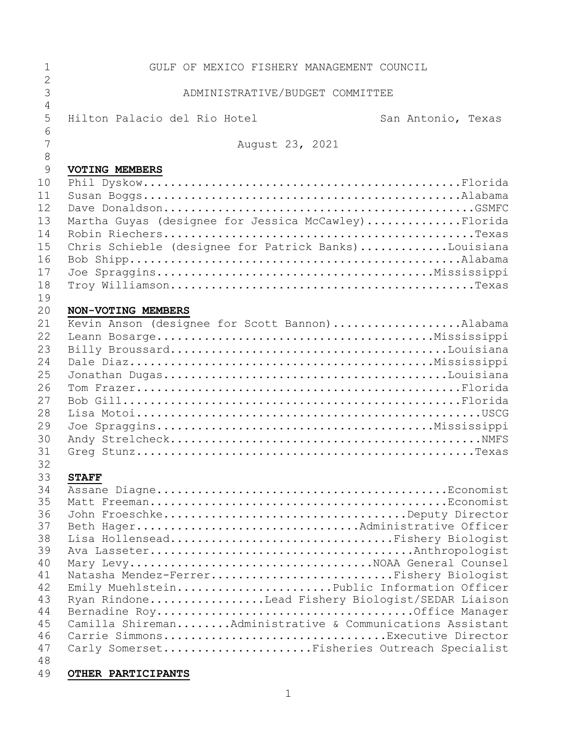| 1              | GULF OF MEXICO FISHERY MANAGEMENT COUNCIL                 |                    |
|----------------|-----------------------------------------------------------|--------------------|
| $\overline{2}$ |                                                           |                    |
| 3              | ADMINISTRATIVE/BUDGET COMMITTEE                           |                    |
| $\overline{4}$ |                                                           |                    |
| 5              | Hilton Palacio del Rio Hotel                              | San Antonio, Texas |
| 6<br>7         |                                                           |                    |
|                | August 23, 2021                                           |                    |
| 8<br>9         | <b>VOTING MEMBERS</b>                                     |                    |
| 10             |                                                           |                    |
| 11             |                                                           |                    |
| 12             |                                                           |                    |
| 13             | Martha Guyas (designee for Jessica McCawley)Florida       |                    |
| 14             |                                                           |                    |
| 15             | Chris Schieble (designee for Patrick Banks)Louisiana      |                    |
| 16             |                                                           |                    |
| 17             |                                                           |                    |
| 18             |                                                           |                    |
| 19             |                                                           |                    |
| 20             | NON-VOTING MEMBERS                                        |                    |
| 21             | Kevin Anson (designee for Scott Bannon)Alabama            |                    |
| 22             |                                                           |                    |
| 23             |                                                           |                    |
| 24             |                                                           |                    |
| 25             |                                                           |                    |
| 26             |                                                           |                    |
| 27             |                                                           |                    |
| 28             |                                                           |                    |
| 29             |                                                           |                    |
| 30             |                                                           |                    |
| 31             |                                                           |                    |
| 32             |                                                           |                    |
| 33             | <b>STAFF</b>                                              |                    |
| 34             |                                                           |                    |
| 35             |                                                           |                    |
| 36             |                                                           |                    |
| 37<br>38       |                                                           |                    |
| 39             | Lisa HollenseadFishery Biologist                          |                    |
| 40             | Mary LevyNOAA General Counsel                             |                    |
| 41             | Natasha Mendez-FerrerFishery Biologist                    |                    |
| 42             | Emily MuehlsteinPublic Information Officer                |                    |
| 43             | Ryan RindoneLead Fishery Biologist/SEDAR Liaison          |                    |
| 44             |                                                           |                    |
| 45             | Camilla ShiremanAdministrative & Communications Assistant |                    |
| 46             | Carrie SimmonsExecutive Director                          |                    |
| 47             | Carly SomersetFisheries Outreach Specialist               |                    |
| 48             |                                                           |                    |
| 49             | OTHER PARTICIPANTS                                        |                    |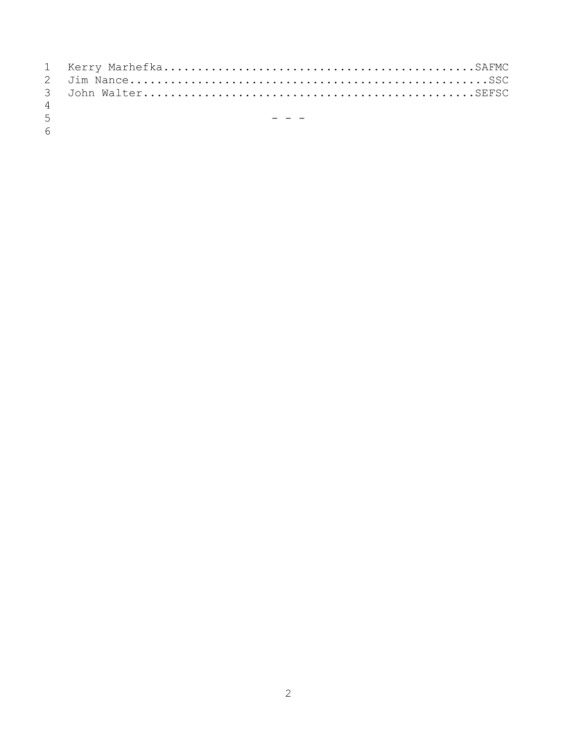| $\overline{4}$                |  |
|-------------------------------|--|
| $\mathbf{r}$ and $\mathbf{r}$ |  |

 $\frac{5}{6}$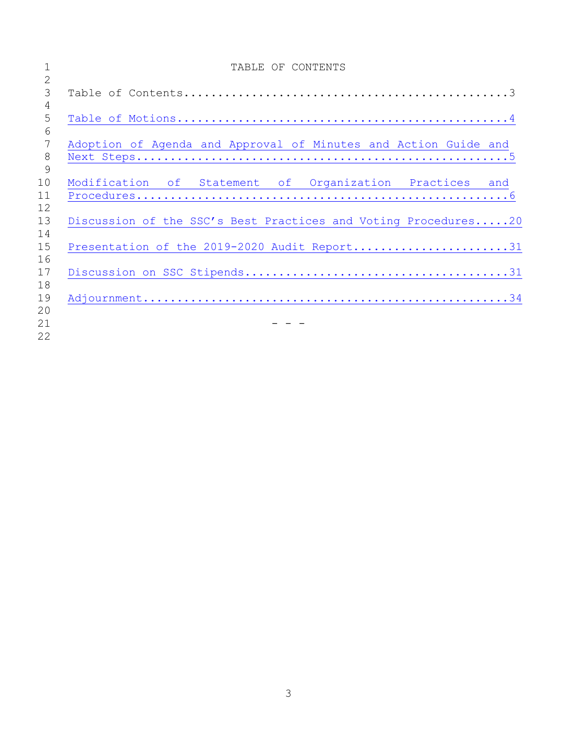| TABLE OF CONTENTS                                               |
|-----------------------------------------------------------------|
|                                                                 |
|                                                                 |
|                                                                 |
|                                                                 |
|                                                                 |
| Adoption of Agenda and Approval of Minutes and Action Guide and |
|                                                                 |
|                                                                 |
| Modification of Statement of Organization Practices and         |
|                                                                 |
|                                                                 |
| Discussion of the SSC's Best Practices and Voting Procedures20  |
|                                                                 |
| Presentation of the 2019-2020 Audit Report31                    |
|                                                                 |
|                                                                 |
|                                                                 |
|                                                                 |
|                                                                 |
|                                                                 |
|                                                                 |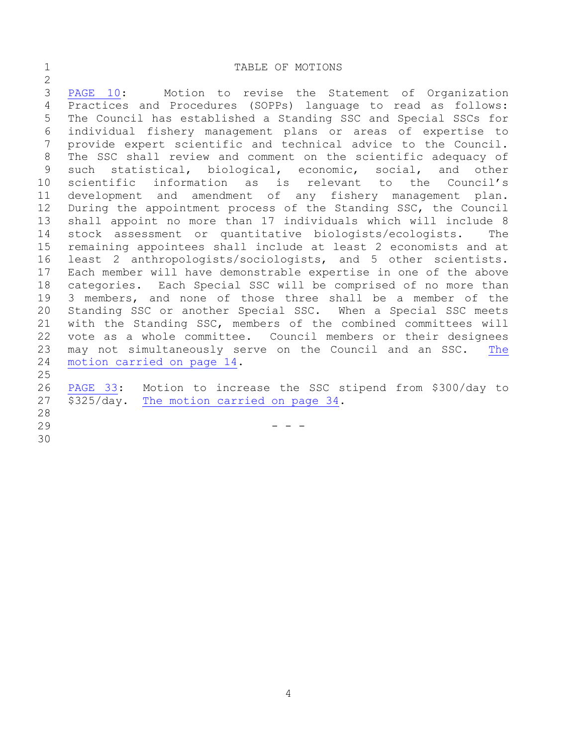## <span id="page-3-0"></span>1 TABLE OF MOTIONS

 [PAGE](#page-9-0) 10: Motion to revise the Statement of Organization Practices and Procedures (SOPPs) language to read as follows: The Council has established a Standing SSC and Special SSCs for individual fishery management plans or areas of expertise to provide expert scientific and technical advice to the Council. The SSC shall review and comment on the scientific adequacy of such statistical, biological, economic, social, and other scientific information as is relevant to the Council's development and amendment of any fishery management plan. During the appointment process of the Standing SSC, the Council shall appoint no more than 17 individuals which will include 8 stock assessment or quantitative biologists/ecologists. The remaining appointees shall include at least 2 economists and at least 2 anthropologists/sociologists, and 5 other scientists. Each member will have demonstrable expertise in one of the above categories. Each Special SSC will be comprised of no more than 3 members, and none of those three shall be a member of the Standing SSC or another Special SSC. When a Special SSC meets with the Standing SSC, members of the combined committees will vote as a whole committee. Council members or their designees may not simultaneously serve on the Council and an SSC. [The](#page-13-0) motion [carried](#page-13-0) on page 14. [PAGE](#page-32-0) 33: Motion to increase the SSC stipend from \$300/day to \$325/day. The motion [carried](#page-33-1) on page 34. 

- - -
-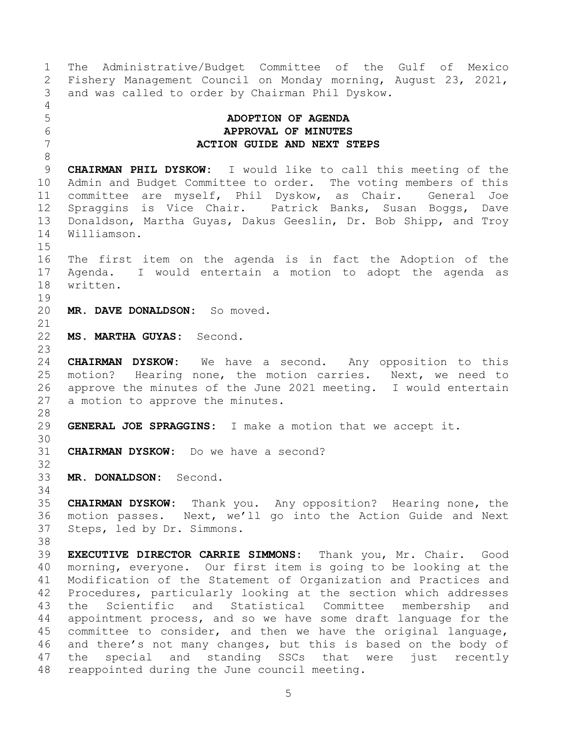<span id="page-4-0"></span> The Administrative/Budget Committee of the Gulf of Mexico Fishery Management Council on Monday morning, August 23, 2021, and was called to order by Chairman Phil Dyskow. **ADOPTION OF AGENDA APPROVAL OF MINUTES ACTION GUIDE AND NEXT STEPS CHAIRMAN PHIL DYSKOW:** I would like to call this meeting of the Admin and Budget Committee to order. The voting members of this committee are myself, Phil Dyskow, as Chair. General Joe Spraggins is Vice Chair. Patrick Banks, Susan Boggs, Dave Donaldson, Martha Guyas, Dakus Geeslin, Dr. Bob Shipp, and Troy Williamson. The first item on the agenda is in fact the Adoption of the Agenda. I would entertain a motion to adopt the agenda as written. **MR. DAVE DONALDSON:** So moved. **MS. MARTHA GUYAS:** Second. **CHAIRMAN DYSKOW:** We have a second. Any opposition to this motion? Hearing none, the motion carries. Next, we need to approve the minutes of the June 2021 meeting. I would entertain a motion to approve the minutes. **GENERAL JOE SPRAGGINS:** I make a motion that we accept it. **CHAIRMAN DYSKOW:** Do we have a second? **MR. DONALDSON:** Second. **CHAIRMAN DYSKOW:** Thank you. Any opposition? Hearing none, the motion passes. Next, we'll go into the Action Guide and Next Steps, led by Dr. Simmons. **EXECUTIVE DIRECTOR CARRIE SIMMONS:** Thank you, Mr. Chair. Good morning, everyone. Our first item is going to be looking at the Modification of the Statement of Organization and Practices and Procedures, particularly looking at the section which addresses the Scientific and Statistical Committee membership and appointment process, and so we have some draft language for the committee to consider, and then we have the original language, and there's not many changes, but this is based on the body of the special and standing SSCs that were just recently reappointed during the June council meeting.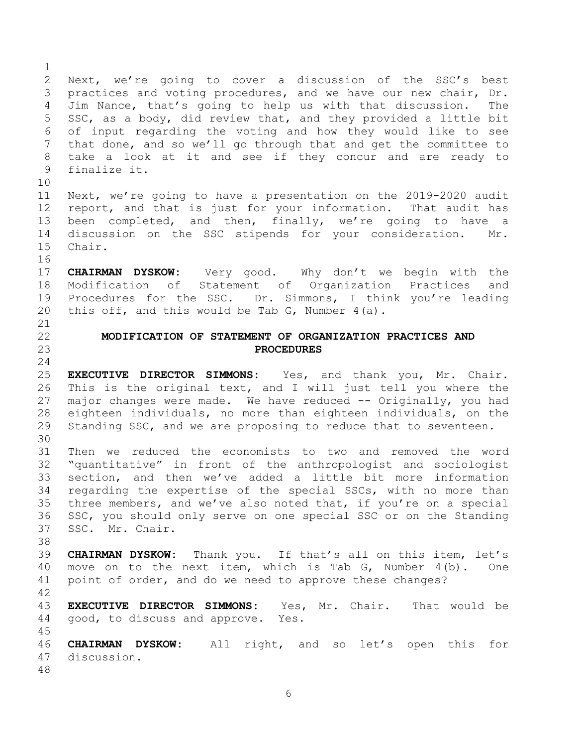<span id="page-5-0"></span> Next, we're going to cover a discussion of the SSC's best practices and voting procedures, and we have our new chair, Dr. Jim Nance, that's going to help us with that discussion. The SSC, as a body, did review that, and they provided a little bit of input regarding the voting and how they would like to see that done, and so we'll go through that and get the committee to take a look at it and see if they concur and are ready to finalize it. Next, we're going to have a presentation on the 2019-2020 audit report, and that is just for your information. That audit has been completed, and then, finally, we're going to have a discussion on the SSC stipends for your consideration. Mr. Chair. **CHAIRMAN DYSKOW:** Very good. Why don't we begin with the Modification of Statement of Organization Practices and Procedures for the SSC. Dr. Simmons, I think you're leading this off, and this would be Tab G, Number 4(a). **MODIFICATION OF STATEMENT OF ORGANIZATION PRACTICES AND PROCEDURES EXECUTIVE DIRECTOR SIMMONS:** Yes, and thank you, Mr. Chair. This is the original text, and I will just tell you where the major changes were made. We have reduced -- Originally, you had eighteen individuals, no more than eighteen individuals, on the Standing SSC, and we are proposing to reduce that to seventeen. Then we reduced the economists to two and removed the word "quantitative" in front of the anthropologist and sociologist section, and then we've added a little bit more information regarding the expertise of the special SSCs, with no more than three members, and we've also noted that, if you're on a special SSC, you should only serve on one special SSC or on the Standing SSC. Mr. Chair. **CHAIRMAN DYSKOW:** Thank you. If that's all on this item, let's move on to the next item, which is Tab G, Number 4(b). One point of order, and do we need to approve these changes? **EXECUTIVE DIRECTOR SIMMONS:** Yes, Mr. Chair. That would be good, to discuss and approve. Yes. **CHAIRMAN DYSKOW:** All right, and so let's open this for discussion.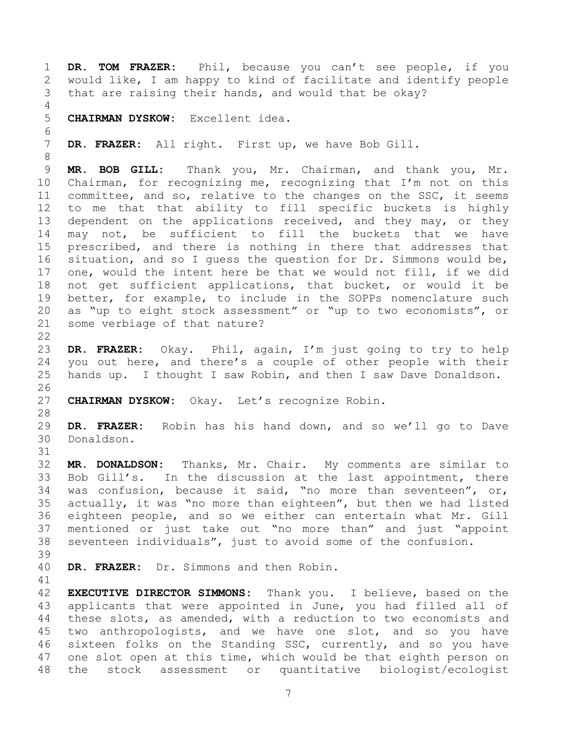**DR. TOM FRAZER:** Phil, because you can't see people, if you would like, I am happy to kind of facilitate and identify people that are raising their hands, and would that be okay? **CHAIRMAN DYSKOW:** Excellent idea. **DR. FRAZER:** All right. First up, we have Bob Gill. **MR. BOB GILL:** Thank you, Mr. Chairman, and thank you, Mr. Chairman, for recognizing me, recognizing that I'm not on this committee, and so, relative to the changes on the SSC, it seems to me that that ability to fill specific buckets is highly dependent on the applications received, and they may, or they may not, be sufficient to fill the buckets that we have prescribed, and there is nothing in there that addresses that situation, and so I guess the question for Dr. Simmons would be, one, would the intent here be that we would not fill, if we did not get sufficient applications, that bucket, or would it be better, for example, to include in the SOPPs nomenclature such as "up to eight stock assessment" or "up to two economists", or some verbiage of that nature? **DR. FRAZER:** Okay. Phil, again, I'm just going to try to help you out here, and there's a couple of other people with their hands up. I thought I saw Robin, and then I saw Dave Donaldson. **CHAIRMAN DYSKOW:** Okay. Let's recognize Robin. **DR. FRAZER:** Robin has his hand down, and so we'll go to Dave Donaldson. **MR. DONALDSON:** Thanks, Mr. Chair. My comments are similar to Bob Gill's. In the discussion at the last appointment, there was confusion, because it said, "no more than seventeen", or, actually, it was "no more than eighteen", but then we had listed eighteen people, and so we either can entertain what Mr. Gill mentioned or just take out "no more than" and just "appoint seventeen individuals", just to avoid some of the confusion. **DR. FRAZER:** Dr. Simmons and then Robin. **EXECUTIVE DIRECTOR SIMMONS:** Thank you. I believe, based on the applicants that were appointed in June, you had filled all of these slots, as amended, with a reduction to two economists and two anthropologists, and we have one slot, and so you have sixteen folks on the Standing SSC, currently, and so you have 47 one slot open at this time, which would be that eighth person on the stock assessment or quantitative biologist/ecologist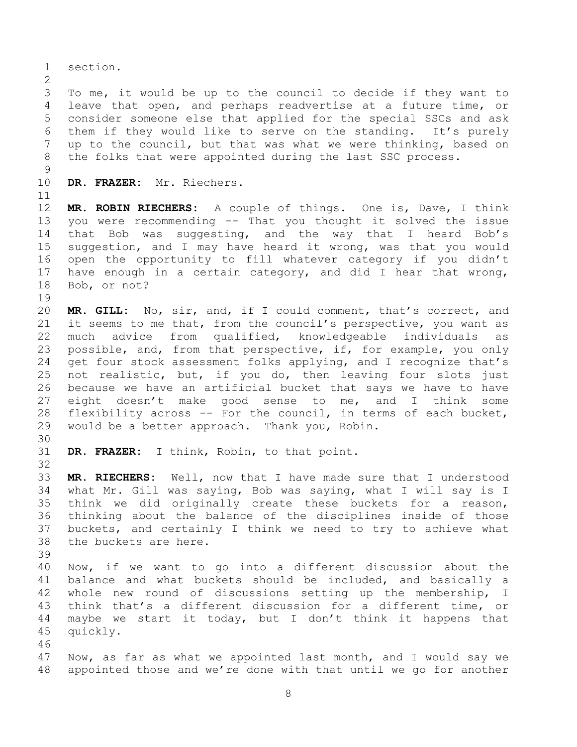section.

 To me, it would be up to the council to decide if they want to leave that open, and perhaps readvertise at a future time, or consider someone else that applied for the special SSCs and ask them if they would like to serve on the standing. It's purely up to the council, but that was what we were thinking, based on the folks that were appointed during the last SSC process.

 

**DR. FRAZER:** Mr. Riechers.

 **MR. ROBIN RIECHERS:** A couple of things. One is, Dave, I think you were recommending -- That you thought it solved the issue that Bob was suggesting, and the way that I heard Bob's suggestion, and I may have heard it wrong, was that you would open the opportunity to fill whatever category if you didn't have enough in a certain category, and did I hear that wrong, Bob, or not?

 **MR. GILL:** No, sir, and, if I could comment, that's correct, and it seems to me that, from the council's perspective, you want as much advice from qualified, knowledgeable individuals as possible, and, from that perspective, if, for example, you only get four stock assessment folks applying, and I recognize that's not realistic, but, if you do, then leaving four slots just because we have an artificial bucket that says we have to have eight doesn't make good sense to me, and I think some flexibility across -- For the council, in terms of each bucket, would be a better approach. Thank you, Robin.

**DR. FRAZER:** I think, Robin, to that point.

 **MR. RIECHERS:** Well, now that I have made sure that I understood what Mr. Gill was saying, Bob was saying, what I will say is I think we did originally create these buckets for a reason, thinking about the balance of the disciplines inside of those buckets, and certainly I think we need to try to achieve what the buckets are here.

 Now, if we want to go into a different discussion about the balance and what buckets should be included, and basically a whole new round of discussions setting up the membership, I think that's a different discussion for a different time, or maybe we start it today, but I don't think it happens that quickly.

 Now, as far as what we appointed last month, and I would say we appointed those and we're done with that until we go for another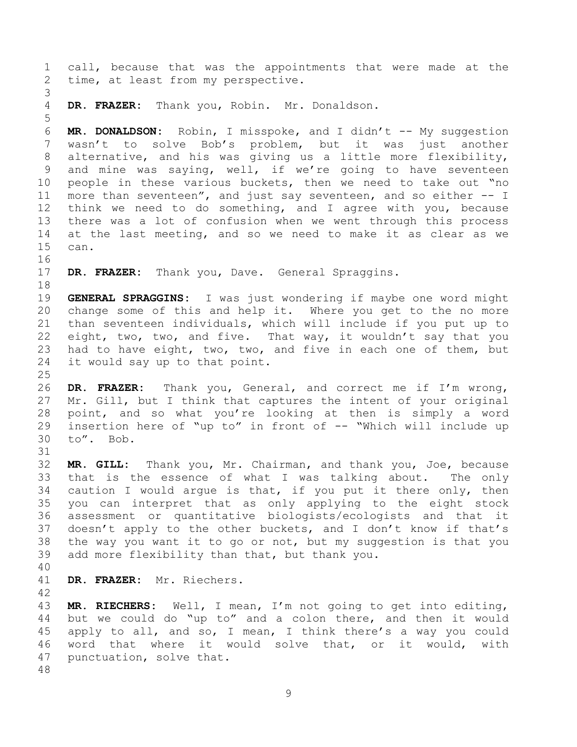call, because that was the appointments that were made at the time, at least from my perspective. **DR. FRAZER:** Thank you, Robin. Mr. Donaldson. **MR. DONALDSON:** Robin, I misspoke, and I didn't -- My suggestion wasn't to solve Bob's problem, but it was just another alternative, and his was giving us a little more flexibility, and mine was saying, well, if we're going to have seventeen people in these various buckets, then we need to take out "no more than seventeen", and just say seventeen, and so either -- I think we need to do something, and I agree with you, because there was a lot of confusion when we went through this process at the last meeting, and so we need to make it as clear as we can. **DR. FRAZER:** Thank you, Dave. General Spraggins. **GENERAL SPRAGGINS:** I was just wondering if maybe one word might change some of this and help it. Where you get to the no more than seventeen individuals, which will include if you put up to eight, two, two, and five. That way, it wouldn't say that you had to have eight, two, two, and five in each one of them, but it would say up to that point. **DR. FRAZER:** Thank you, General, and correct me if I'm wrong, Mr. Gill, but I think that captures the intent of your original point, and so what you're looking at then is simply a word insertion here of "up to" in front of -- "Which will include up to". Bob. **MR. GILL:** Thank you, Mr. Chairman, and thank you, Joe, because that is the essence of what I was talking about. The only caution I would argue is that, if you put it there only, then you can interpret that as only applying to the eight stock assessment or quantitative biologists/ecologists and that it doesn't apply to the other buckets, and I don't know if that's the way you want it to go or not, but my suggestion is that you add more flexibility than that, but thank you. **DR. FRAZER:** Mr. Riechers. **MR. RIECHERS:** Well, I mean, I'm not going to get into editing, but we could do "up to" and a colon there, and then it would apply to all, and so, I mean, I think there's a way you could word that where it would solve that, or it would, with

punctuation, solve that.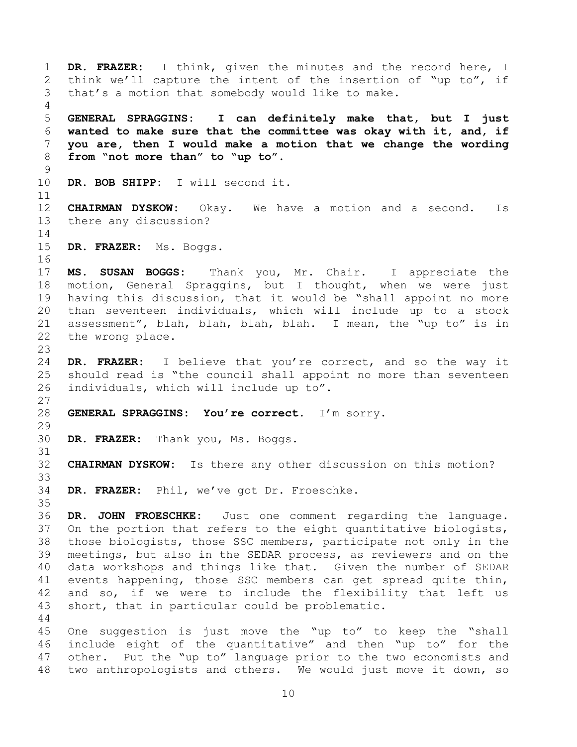<span id="page-9-0"></span> **DR. FRAZER:** I think, given the minutes and the record here, I think we'll capture the intent of the insertion of "up to", if that's a motion that somebody would like to make. **GENERAL SPRAGGINS: I can definitely make that, but I just wanted to make sure that the committee was okay with it, and, if you are, then I would make a motion that we change the wording from "not more than" to "up to". DR. BOB SHIPP:** I will second it. **CHAIRMAN DYSKOW:** Okay. We have a motion and a second. Is there any discussion? **DR. FRAZER:** Ms. Boggs. **MS. SUSAN BOGGS:** Thank you, Mr. Chair. I appreciate the motion, General Spraggins, but I thought, when we were just having this discussion, that it would be "shall appoint no more than seventeen individuals, which will include up to a stock assessment", blah, blah, blah, blah. I mean, the "up to" is in the wrong place. **DR. FRAZER:** I believe that you're correct, and so the way it should read is "the council shall appoint no more than seventeen individuals, which will include up to". **GENERAL SPRAGGINS: You're correct.** I'm sorry. **DR. FRAZER:** Thank you, Ms. Boggs. **CHAIRMAN DYSKOW:** Is there any other discussion on this motion? **DR. FRAZER:** Phil, we've got Dr. Froeschke. **DR. JOHN FROESCHKE:** Just one comment regarding the language. On the portion that refers to the eight quantitative biologists, those biologists, those SSC members, participate not only in the meetings, but also in the SEDAR process, as reviewers and on the data workshops and things like that. Given the number of SEDAR events happening, those SSC members can get spread quite thin, and so, if we were to include the flexibility that left us short, that in particular could be problematic. One suggestion is just move the "up to" to keep the "shall include eight of the quantitative" and then "up to" for the other. Put the "up to" language prior to the two economists and two anthropologists and others. We would just move it down, so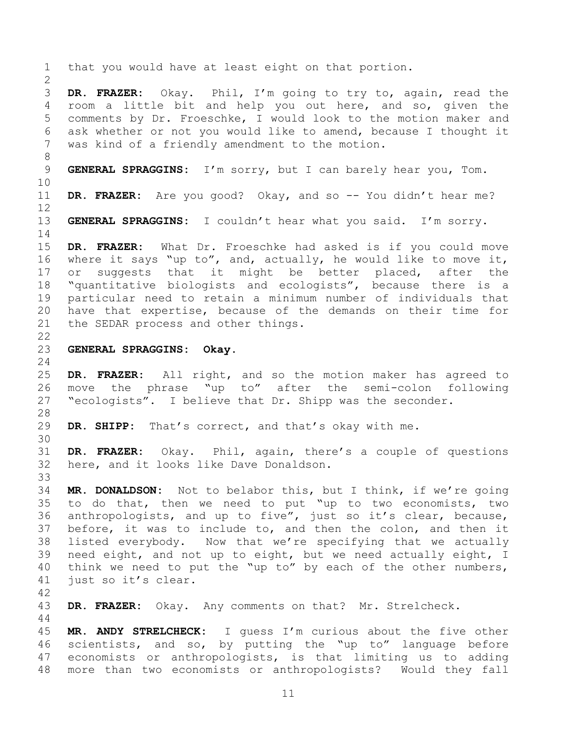**DR. FRAZER:** Okay. Phil, I'm going to try to, again, read the room a little bit and help you out here, and so, given the comments by Dr. Froeschke, I would look to the motion maker and ask whether or not you would like to amend, because I thought it was kind of a friendly amendment to the motion.

that you would have at least eight on that portion.

**GENERAL SPRAGGINS:** I'm sorry, but I can barely hear you, Tom.

**DR. FRAZER:** Are you good? Okay, and so -- You didn't hear me?

**GENERAL SPRAGGINS:** I couldn't hear what you said. I'm sorry.

 **DR. FRAZER:** What Dr. Froeschke had asked is if you could move where it says "up to", and, actually, he would like to move it, 17 or suggests that it might be better placed, after the "quantitative biologists and ecologists", because there is a particular need to retain a minimum number of individuals that have that expertise, because of the demands on their time for the SEDAR process and other things.

**GENERAL SPRAGGINS: Okay.**

 **DR. FRAZER:** All right, and so the motion maker has agreed to move the phrase "up to" after the semi-colon following "ecologists". I believe that Dr. Shipp was the seconder.

**DR. SHIPP:** That's correct, and that's okay with me.

 **DR. FRAZER:** Okay. Phil, again, there's a couple of questions here, and it looks like Dave Donaldson.

 **MR. DONALDSON:** Not to belabor this, but I think, if we're going to do that, then we need to put "up to two economists, two anthropologists, and up to five", just so it's clear, because, before, it was to include to, and then the colon, and then it listed everybody. Now that we're specifying that we actually need eight, and not up to eight, but we need actually eight, I think we need to put the "up to" by each of the other numbers, just so it's clear.

**DR. FRAZER:** Okay. Any comments on that? Mr. Strelcheck.

 **MR. ANDY STRELCHECK:** I guess I'm curious about the five other scientists, and so, by putting the "up to" language before economists or anthropologists, is that limiting us to adding more than two economists or anthropologists? Would they fall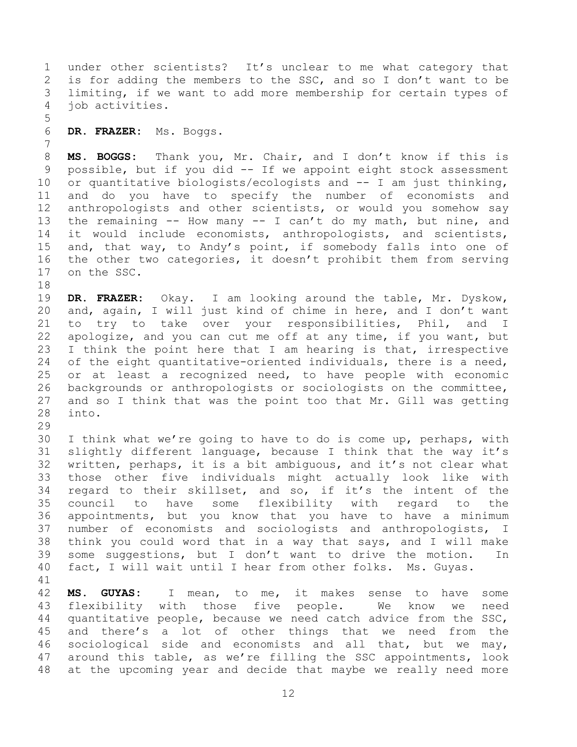under other scientists? It's unclear to me what category that is for adding the members to the SSC, and so I don't want to be limiting, if we want to add more membership for certain types of job activities.

**DR. FRAZER:** Ms. Boggs.

 **MS. BOGGS:** Thank you, Mr. Chair, and I don't know if this is possible, but if you did -- If we appoint eight stock assessment or quantitative biologists/ecologists and -- I am just thinking, and do you have to specify the number of economists and anthropologists and other scientists, or would you somehow say the remaining -- How many -- I can't do my math, but nine, and it would include economists, anthropologists, and scientists, and, that way, to Andy's point, if somebody falls into one of the other two categories, it doesn't prohibit them from serving on the SSC.

 **DR. FRAZER:** Okay. I am looking around the table, Mr. Dyskow, and, again, I will just kind of chime in here, and I don't want to try to take over your responsibilities, Phil, and I apologize, and you can cut me off at any time, if you want, but I think the point here that I am hearing is that, irrespective of the eight quantitative-oriented individuals, there is a need, or at least a recognized need, to have people with economic backgrounds or anthropologists or sociologists on the committee, and so I think that was the point too that Mr. Gill was getting into.

 I think what we're going to have to do is come up, perhaps, with slightly different language, because I think that the way it's written, perhaps, it is a bit ambiguous, and it's not clear what those other five individuals might actually look like with regard to their skillset, and so, if it's the intent of the council to have some flexibility with regard to the appointments, but you know that you have to have a minimum number of economists and sociologists and anthropologists, I think you could word that in a way that says, and I will make some suggestions, but I don't want to drive the motion. In fact, I will wait until I hear from other folks. Ms. Guyas.

 **MS. GUYAS:** I mean, to me, it makes sense to have some flexibility with those five people. We know we need quantitative people, because we need catch advice from the SSC, and there's a lot of other things that we need from the sociological side and economists and all that, but we may, around this table, as we're filling the SSC appointments, look at the upcoming year and decide that maybe we really need more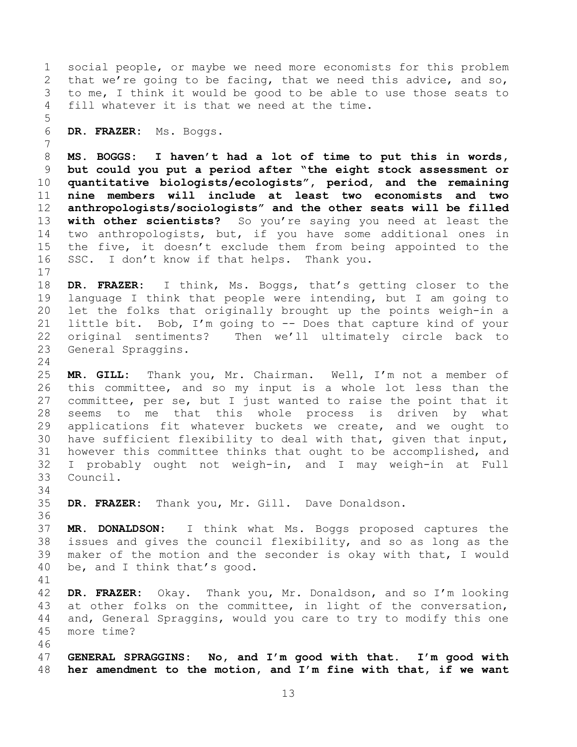social people, or maybe we need more economists for this problem that we're going to be facing, that we need this advice, and so, to me, I think it would be good to be able to use those seats to fill whatever it is that we need at the time. **DR. FRAZER:** Ms. Boggs. **MS. BOGGS: I haven't had a lot of time to put this in words, but could you put a period after "the eight stock assessment or quantitative biologists/ecologists", period, and the remaining nine members will include at least two economists and two anthropologists/sociologists" and the other seats will be filled with other scientists?** So you're saying you need at least the two anthropologists, but, if you have some additional ones in the five, it doesn't exclude them from being appointed to the SSC. I don't know if that helps. Thank you. **DR. FRAZER:** I think, Ms. Boggs, that's getting closer to the language I think that people were intending, but I am going to let the folks that originally brought up the points weigh-in a little bit. Bob, I'm going to -- Does that capture kind of your original sentiments? Then we'll ultimately circle back to General Spraggins. **MR. GILL:** Thank you, Mr. Chairman. Well, I'm not a member of this committee, and so my input is a whole lot less than the committee, per se, but I just wanted to raise the point that it seems to me that this whole process is driven by what applications fit whatever buckets we create, and we ought to have sufficient flexibility to deal with that, given that input, however this committee thinks that ought to be accomplished, and I probably ought not weigh-in, and I may weigh-in at Full Council. **DR. FRAZER:** Thank you, Mr. Gill. Dave Donaldson. **MR. DONALDSON:** I think what Ms. Boggs proposed captures the issues and gives the council flexibility, and so as long as the maker of the motion and the seconder is okay with that, I would be, and I think that's good. **DR. FRAZER:** Okay. Thank you, Mr. Donaldson, and so I'm looking at other folks on the committee, in light of the conversation, and, General Spraggins, would you care to try to modify this one more time? **GENERAL SPRAGGINS: No, and I'm good with that. I'm good with her amendment to the motion, and I'm fine with that, if we want**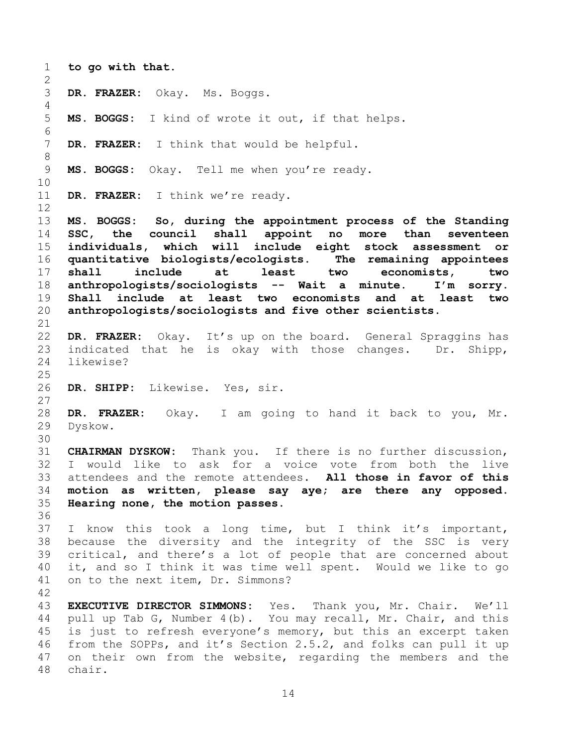<span id="page-13-0"></span> **to go with that. DR. FRAZER:** Okay. Ms. Boggs. **MS. BOGGS:** I kind of wrote it out, if that helps. **DR. FRAZER:** I think that would be helpful. **MS. BOGGS:** Okay. Tell me when you're ready. **DR. FRAZER:** I think we're ready. **MS. BOGGS: So, during the appointment process of the Standing SSC, the council shall appoint no more than seventeen individuals, which will include eight stock assessment or quantitative biologists/ecologists. The remaining appointees shall include at least two economists, two anthropologists/sociologists -- Wait a minute. I'm sorry. Shall include at least two economists and at least two anthropologists/sociologists and five other scientists. DR. FRAZER:** Okay. It's up on the board. General Spraggins has indicated that he is okay with those changes. Dr. Shipp, likewise? **DR. SHIPP:** Likewise. Yes, sir. **DR. FRAZER:** Okay. I am going to hand it back to you, Mr. Dyskow. **CHAIRMAN DYSKOW:** Thank you. If there is no further discussion, I would like to ask for a voice vote from both the live attendees and the remote attendees. **All those in favor of this motion as written, please say aye; are there any opposed. Hearing none, the motion passes.** I know this took a long time, but I think it's important, because the diversity and the integrity of the SSC is very critical, and there's a lot of people that are concerned about it, and so I think it was time well spent. Would we like to go on to the next item, Dr. Simmons? **EXECUTIVE DIRECTOR SIMMONS:** Yes. Thank you, Mr. Chair. We'll pull up Tab G, Number 4(b). You may recall, Mr. Chair, and this is just to refresh everyone's memory, but this an excerpt taken from the SOPPs, and it's Section 2.5.2, and folks can pull it up on their own from the website, regarding the members and the chair.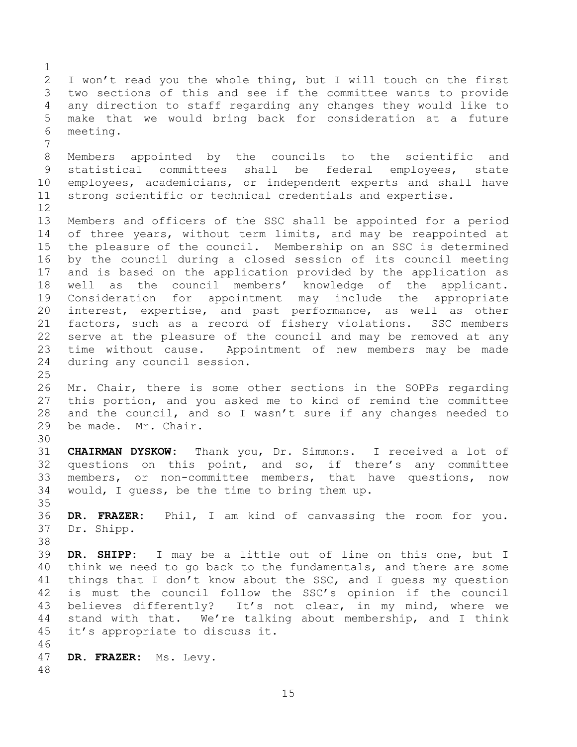I won't read you the whole thing, but I will touch on the first two sections of this and see if the committee wants to provide any direction to staff regarding any changes they would like to make that we would bring back for consideration at a future meeting. Members appointed by the councils to the scientific and statistical committees shall be federal employees, state employees, academicians, or independent experts and shall have strong scientific or technical credentials and expertise. Members and officers of the SSC shall be appointed for a period of three years, without term limits, and may be reappointed at the pleasure of the council. Membership on an SSC is determined by the council during a closed session of its council meeting and is based on the application provided by the application as well as the council members' knowledge of the applicant. Consideration for appointment may include the appropriate interest, expertise, and past performance, as well as other factors, such as a record of fishery violations. SSC members serve at the pleasure of the council and may be removed at any time without cause. Appointment of new members may be made during any council session. Mr. Chair, there is some other sections in the SOPPs regarding this portion, and you asked me to kind of remind the committee and the council, and so I wasn't sure if any changes needed to be made. Mr. Chair. **CHAIRMAN DYSKOW:** Thank you, Dr. Simmons. I received a lot of questions on this point, and so, if there's any committee members, or non-committee members, that have questions, now would, I guess, be the time to bring them up. **DR. FRAZER:** Phil, I am kind of canvassing the room for you. Dr. Shipp. **DR. SHIPP:** I may be a little out of line on this one, but I think we need to go back to the fundamentals, and there are some things that I don't know about the SSC, and I guess my question is must the council follow the SSC's opinion if the council believes differently? It's not clear, in my mind, where we stand with that. We're talking about membership, and I think it's appropriate to discuss it. **DR. FRAZER:** Ms. Levy.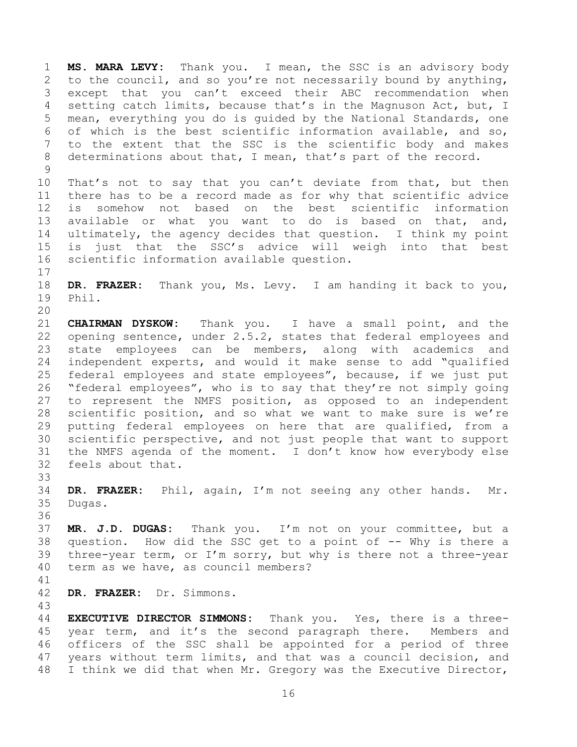**MS. MARA LEVY:** Thank you. I mean, the SSC is an advisory body to the council, and so you're not necessarily bound by anything, except that you can't exceed their ABC recommendation when setting catch limits, because that's in the Magnuson Act, but, I mean, everything you do is guided by the National Standards, one of which is the best scientific information available, and so, to the extent that the SSC is the scientific body and makes determinations about that, I mean, that's part of the record. 

 That's not to say that you can't deviate from that, but then there has to be a record made as for why that scientific advice is somehow not based on the best scientific information available or what you want to do is based on that, and, ultimately, the agency decides that question. I think my point is just that the SSC's advice will weigh into that best scientific information available question.

 **DR. FRAZER:** Thank you, Ms. Levy. I am handing it back to you, Phil. 

 **CHAIRMAN DYSKOW:** Thank you. I have a small point, and the opening sentence, under 2.5.2, states that federal employees and state employees can be members, along with academics and independent experts, and would it make sense to add "qualified federal employees and state employees", because, if we just put "federal employees", who is to say that they're not simply going to represent the NMFS position, as opposed to an independent scientific position, and so what we want to make sure is we're putting federal employees on here that are qualified, from a scientific perspective, and not just people that want to support the NMFS agenda of the moment. I don't know how everybody else feels about that.

 **DR. FRAZER:** Phil, again, I'm not seeing any other hands. Mr. Dugas.

 **MR. J.D. DUGAS:** Thank you. I'm not on your committee, but a question. How did the SSC get to a point of -- Why is there a three-year term, or I'm sorry, but why is there not a three-year term as we have, as council members?

**DR. FRAZER:** Dr. Simmons.

 **EXECUTIVE DIRECTOR SIMMONS:** Thank you. Yes, there is a three-45 year term, and it's the second paragraph there. Members and officers of the SSC shall be appointed for a period of three years without term limits, and that was a council decision, and I think we did that when Mr. Gregory was the Executive Director,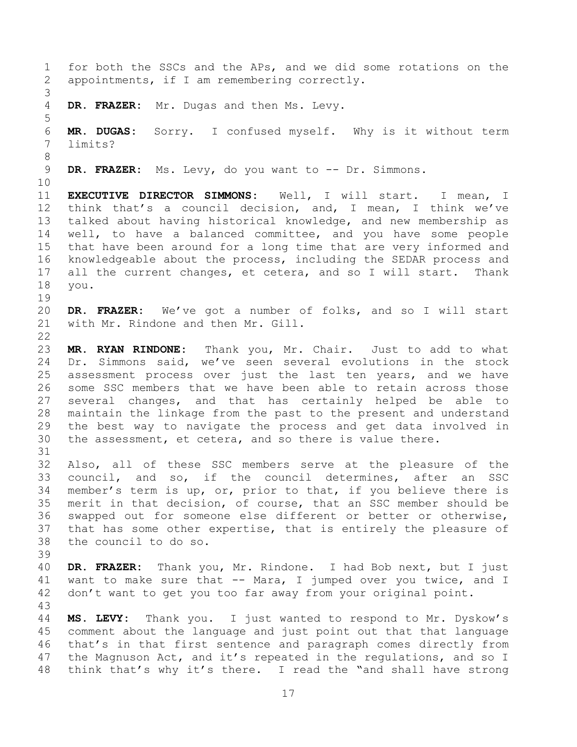for both the SSCs and the APs, and we did some rotations on the appointments, if I am remembering correctly. **DR. FRAZER:** Mr. Dugas and then Ms. Levy. **MR. DUGAS:** Sorry. I confused myself. Why is it without term limits? **DR. FRAZER:** Ms. Levy, do you want to -- Dr. Simmons. **EXECUTIVE DIRECTOR SIMMONS:** Well, I will start. I mean, I think that's a council decision, and, I mean, I think we've talked about having historical knowledge, and new membership as well, to have a balanced committee, and you have some people that have been around for a long time that are very informed and knowledgeable about the process, including the SEDAR process and all the current changes, et cetera, and so I will start. Thank you. **DR. FRAZER:** We've got a number of folks, and so I will start with Mr. Rindone and then Mr. Gill. **MR. RYAN RINDONE:** Thank you, Mr. Chair. Just to add to what Dr. Simmons said, we've seen several evolutions in the stock assessment process over just the last ten years, and we have some SSC members that we have been able to retain across those several changes, and that has certainly helped be able to maintain the linkage from the past to the present and understand the best way to navigate the process and get data involved in the assessment, et cetera, and so there is value there. Also, all of these SSC members serve at the pleasure of the council, and so, if the council determines, after an SSC member's term is up, or, prior to that, if you believe there is merit in that decision, of course, that an SSC member should be swapped out for someone else different or better or otherwise, that has some other expertise, that is entirely the pleasure of the council to do so. **DR. FRAZER:** Thank you, Mr. Rindone. I had Bob next, but I just want to make sure that -- Mara, I jumped over you twice, and I don't want to get you too far away from your original point. **MS. LEVY:** Thank you. I just wanted to respond to Mr. Dyskow's comment about the language and just point out that that language that's in that first sentence and paragraph comes directly from the Magnuson Act, and it's repeated in the regulations, and so I think that's why it's there. I read the "and shall have strong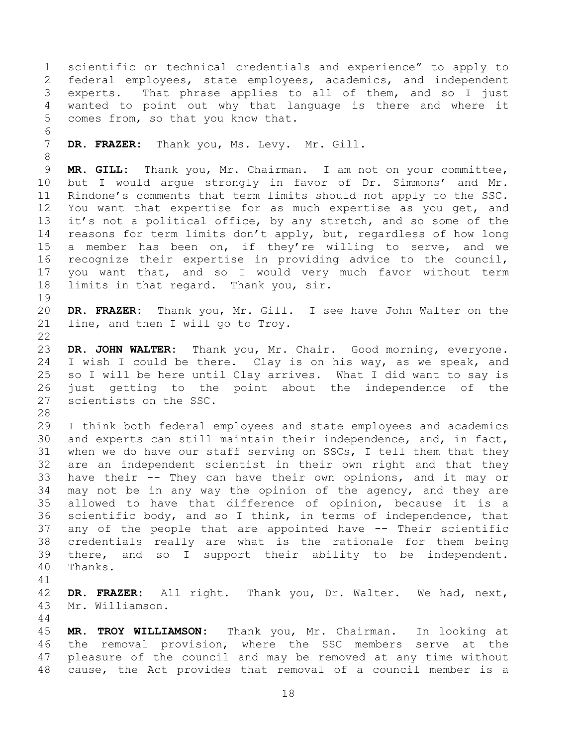scientific or technical credentials and experience" to apply to federal employees, state employees, academics, and independent experts. That phrase applies to all of them, and so I just wanted to point out why that language is there and where it comes from, so that you know that. **DR. FRAZER:** Thank you, Ms. Levy. Mr. Gill. **MR. GILL:** Thank you, Mr. Chairman. I am not on your committee, but I would argue strongly in favor of Dr. Simmons' and Mr. Rindone's comments that term limits should not apply to the SSC. You want that expertise for as much expertise as you get, and it's not a political office, by any stretch, and so some of the reasons for term limits don't apply, but, regardless of how long a member has been on, if they're willing to serve, and we recognize their expertise in providing advice to the council, you want that, and so I would very much favor without term limits in that regard. Thank you, sir. **DR. FRAZER:** Thank you, Mr. Gill. I see have John Walter on the line, and then I will go to Troy. **DR. JOHN WALTER:** Thank you, Mr. Chair. Good morning, everyone. I wish I could be there. Clay is on his way, as we speak, and so I will be here until Clay arrives. What I did want to say is just getting to the point about the independence of the scientists on the SSC. I think both federal employees and state employees and academics and experts can still maintain their independence, and, in fact, when we do have our staff serving on SSCs, I tell them that they are an independent scientist in their own right and that they have their -- They can have their own opinions, and it may or may not be in any way the opinion of the agency, and they are allowed to have that difference of opinion, because it is a scientific body, and so I think, in terms of independence, that any of the people that are appointed have -- Their scientific credentials really are what is the rationale for them being there, and so I support their ability to be independent. Thanks. **DR. FRAZER:** All right. Thank you, Dr. Walter. We had, next, Mr. Williamson. **MR. TROY WILLIAMSON:** Thank you, Mr. Chairman. In looking at the removal provision, where the SSC members serve at the pleasure of the council and may be removed at any time without cause, the Act provides that removal of a council member is a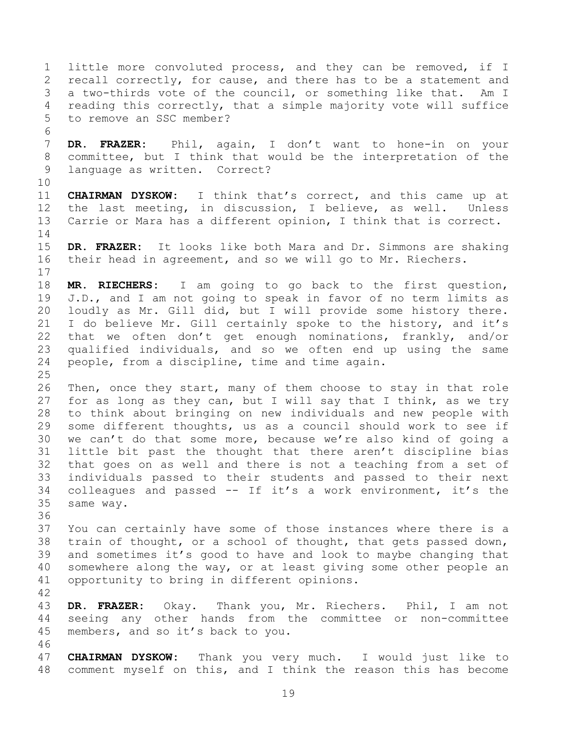little more convoluted process, and they can be removed, if I 2 recall correctly, for cause, and there has to be a statement and a two-thirds vote of the council, or something like that. Am I reading this correctly, that a simple majority vote will suffice to remove an SSC member? **DR. FRAZER:** Phil, again, I don't want to hone-in on your committee, but I think that would be the interpretation of the language as written. Correct? **CHAIRMAN DYSKOW:** I think that's correct, and this came up at the last meeting, in discussion, I believe, as well. Unless Carrie or Mara has a different opinion, I think that is correct. **DR. FRAZER:** It looks like both Mara and Dr. Simmons are shaking their head in agreement, and so we will go to Mr. Riechers. **MR. RIECHERS:** I am going to go back to the first question, J.D., and I am not going to speak in favor of no term limits as loudly as Mr. Gill did, but I will provide some history there. I do believe Mr. Gill certainly spoke to the history, and it's that we often don't get enough nominations, frankly, and/or qualified individuals, and so we often end up using the same people, from a discipline, time and time again. Then, once they start, many of them choose to stay in that role for as long as they can, but I will say that I think, as we try to think about bringing on new individuals and new people with some different thoughts, us as a council should work to see if we can't do that some more, because we're also kind of going a little bit past the thought that there aren't discipline bias that goes on as well and there is not a teaching from a set of individuals passed to their students and passed to their next colleagues and passed -- If it's a work environment, it's the same way. You can certainly have some of those instances where there is a train of thought, or a school of thought, that gets passed down, and sometimes it's good to have and look to maybe changing that somewhere along the way, or at least giving some other people an opportunity to bring in different opinions. **DR. FRAZER:** Okay. Thank you, Mr. Riechers. Phil, I am not seeing any other hands from the committee or non-committee members, and so it's back to you. **CHAIRMAN DYSKOW:** Thank you very much. I would just like to comment myself on this, and I think the reason this has become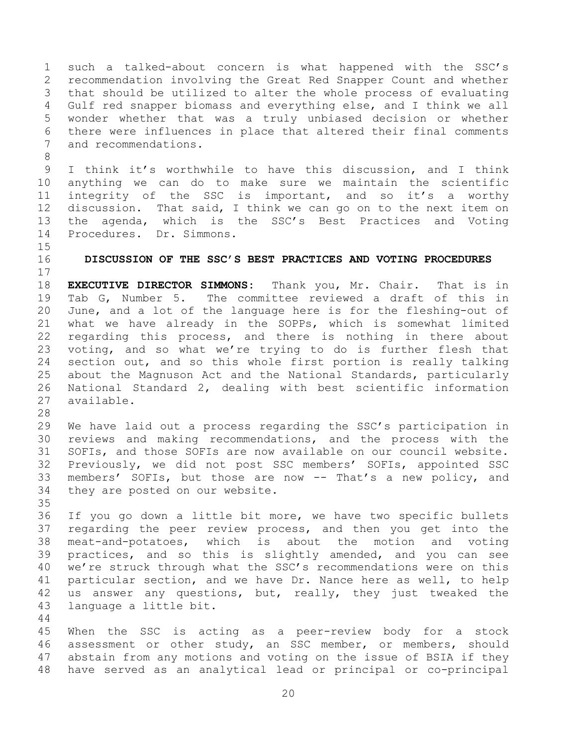such a talked-about concern is what happened with the SSC's recommendation involving the Great Red Snapper Count and whether that should be utilized to alter the whole process of evaluating Gulf red snapper biomass and everything else, and I think we all wonder whether that was a truly unbiased decision or whether there were influences in place that altered their final comments and recommendations.

 I think it's worthwhile to have this discussion, and I think anything we can do to make sure we maintain the scientific integrity of the SSC is important, and so it's a worthy discussion. That said, I think we can go on to the next item on the agenda, which is the SSC's Best Practices and Voting Procedures. Dr. Simmons.

<span id="page-19-0"></span>**DISCUSSION OF THE SSC'S BEST PRACTICES AND VOTING PROCEDURES**

 **EXECUTIVE DIRECTOR SIMMONS:** Thank you, Mr. Chair. That is in Tab G, Number 5. The committee reviewed a draft of this in June, and a lot of the language here is for the fleshing-out of what we have already in the SOPPs, which is somewhat limited regarding this process, and there is nothing in there about voting, and so what we're trying to do is further flesh that section out, and so this whole first portion is really talking about the Magnuson Act and the National Standards, particularly National Standard 2, dealing with best scientific information available.

 We have laid out a process regarding the SSC's participation in reviews and making recommendations, and the process with the SOFIs, and those SOFIs are now available on our council website. Previously, we did not post SSC members' SOFIs, appointed SSC members' SOFIs, but those are now -- That's a new policy, and they are posted on our website. 

 If you go down a little bit more, we have two specific bullets regarding the peer review process, and then you get into the meat-and-potatoes, which is about the motion and voting practices, and so this is slightly amended, and you can see we're struck through what the SSC's recommendations were on this particular section, and we have Dr. Nance here as well, to help us answer any questions, but, really, they just tweaked the language a little bit.

 When the SSC is acting as a peer-review body for a stock assessment or other study, an SSC member, or members, should abstain from any motions and voting on the issue of BSIA if they have served as an analytical lead or principal or co-principal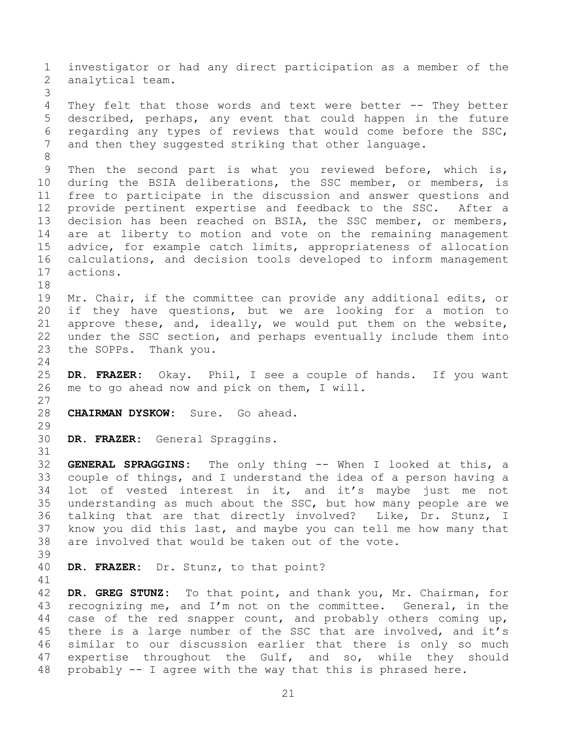investigator or had any direct participation as a member of the analytical team. They felt that those words and text were better -- They better described, perhaps, any event that could happen in the future regarding any types of reviews that would come before the SSC, and then they suggested striking that other language. Then the second part is what you reviewed before, which is, during the BSIA deliberations, the SSC member, or members, is free to participate in the discussion and answer questions and provide pertinent expertise and feedback to the SSC. After a decision has been reached on BSIA, the SSC member, or members, are at liberty to motion and vote on the remaining management advice, for example catch limits, appropriateness of allocation calculations, and decision tools developed to inform management actions. Mr. Chair, if the committee can provide any additional edits, or if they have questions, but we are looking for a motion to approve these, and, ideally, we would put them on the website, under the SSC section, and perhaps eventually include them into the SOPPs. Thank you. **DR. FRAZER:** Okay. Phil, I see a couple of hands. If you want me to go ahead now and pick on them, I will. **CHAIRMAN DYSKOW:** Sure. Go ahead. **DR. FRAZER:** General Spraggins. **GENERAL SPRAGGINS:** The only thing -- When I looked at this, a couple of things, and I understand the idea of a person having a lot of vested interest in it, and it's maybe just me not understanding as much about the SSC, but how many people are we talking that are that directly involved? Like, Dr. Stunz, I know you did this last, and maybe you can tell me how many that are involved that would be taken out of the vote. **DR. FRAZER:** Dr. Stunz, to that point? **DR. GREG STUNZ:** To that point, and thank you, Mr. Chairman, for recognizing me, and I'm not on the committee. General, in the case of the red snapper count, and probably others coming up, there is a large number of the SSC that are involved, and it's similar to our discussion earlier that there is only so much expertise throughout the Gulf, and so, while they should probably -- I agree with the way that this is phrased here.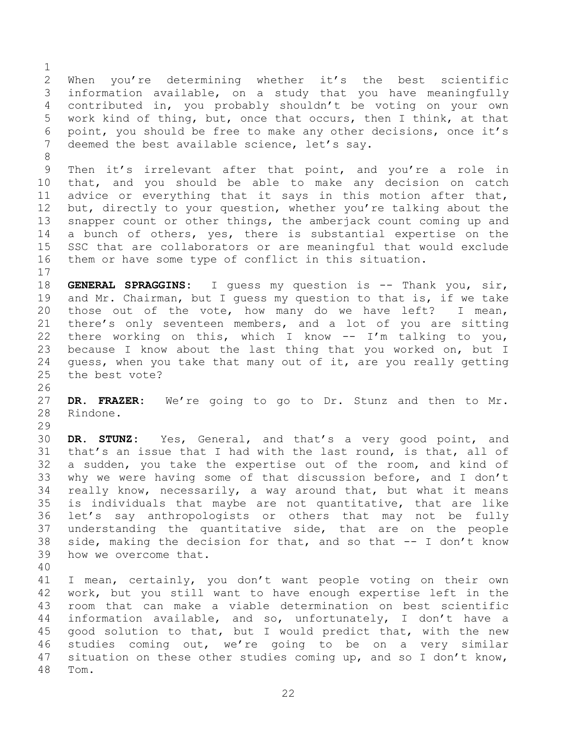When you're determining whether it's the best scientific information available, on a study that you have meaningfully contributed in, you probably shouldn't be voting on your own work kind of thing, but, once that occurs, then I think, at that point, you should be free to make any other decisions, once it's deemed the best available science, let's say.

 Then it's irrelevant after that point, and you're a role in that, and you should be able to make any decision on catch advice or everything that it says in this motion after that, 12 but, directly to your question, whether you're talking about the snapper count or other things, the amberjack count coming up and a bunch of others, yes, there is substantial expertise on the SSC that are collaborators or are meaningful that would exclude them or have some type of conflict in this situation.

 **GENERAL SPRAGGINS:** I guess my question is -- Thank you, sir, and Mr. Chairman, but I guess my question to that is, if we take those out of the vote, how many do we have left? I mean, there's only seventeen members, and a lot of you are sitting there working on this, which I know -- I'm talking to you, because I know about the last thing that you worked on, but I guess, when you take that many out of it, are you really getting the best vote?

 **DR. FRAZER:** We're going to go to Dr. Stunz and then to Mr. Rindone.

 **DR. STUNZ:** Yes, General, and that's a very good point, and that's an issue that I had with the last round, is that, all of a sudden, you take the expertise out of the room, and kind of why we were having some of that discussion before, and I don't really know, necessarily, a way around that, but what it means is individuals that maybe are not quantitative, that are like let's say anthropologists or others that may not be fully understanding the quantitative side, that are on the people side, making the decision for that, and so that -- I don't know how we overcome that.

 I mean, certainly, you don't want people voting on their own work, but you still want to have enough expertise left in the room that can make a viable determination on best scientific information available, and so, unfortunately, I don't have a good solution to that, but I would predict that, with the new studies coming out, we're going to be on a very similar situation on these other studies coming up, and so I don't know, Tom.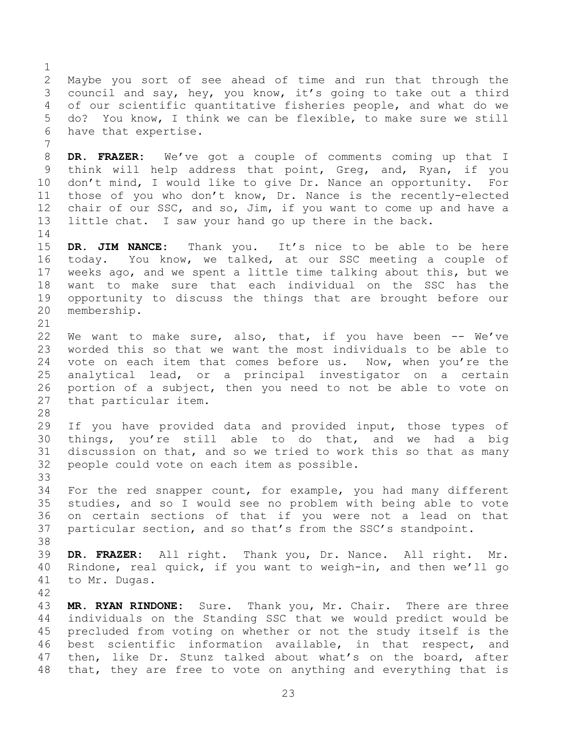Maybe you sort of see ahead of time and run that through the council and say, hey, you know, it's going to take out a third of our scientific quantitative fisheries people, and what do we do? You know, I think we can be flexible, to make sure we still have that expertise.

 **DR. FRAZER:** We've got a couple of comments coming up that I think will help address that point, Greg, and, Ryan, if you don't mind, I would like to give Dr. Nance an opportunity. For those of you who don't know, Dr. Nance is the recently-elected chair of our SSC, and so, Jim, if you want to come up and have a little chat. I saw your hand go up there in the back. 

 **DR. JIM NANCE:** Thank you. It's nice to be able to be here today. You know, we talked, at our SSC meeting a couple of weeks ago, and we spent a little time talking about this, but we want to make sure that each individual on the SSC has the opportunity to discuss the things that are brought before our membership.

22 We want to make sure, also, that, if you have been -- We've worded this so that we want the most individuals to be able to 24 vote on each item that comes before us. Now, when you're the analytical lead, or a principal investigator on a certain portion of a subject, then you need to not be able to vote on that particular item.

 If you have provided data and provided input, those types of things, you're still able to do that, and we had a big discussion on that, and so we tried to work this so that as many people could vote on each item as possible. 

 For the red snapper count, for example, you had many different studies, and so I would see no problem with being able to vote on certain sections of that if you were not a lead on that particular section, and so that's from the SSC's standpoint.

 **DR. FRAZER:** All right. Thank you, Dr. Nance. All right. Mr. Rindone, real quick, if you want to weigh-in, and then we'll go to Mr. Dugas.

 **MR. RYAN RINDONE:** Sure. Thank you, Mr. Chair. There are three individuals on the Standing SSC that we would predict would be precluded from voting on whether or not the study itself is the best scientific information available, in that respect, and then, like Dr. Stunz talked about what's on the board, after that, they are free to vote on anything and everything that is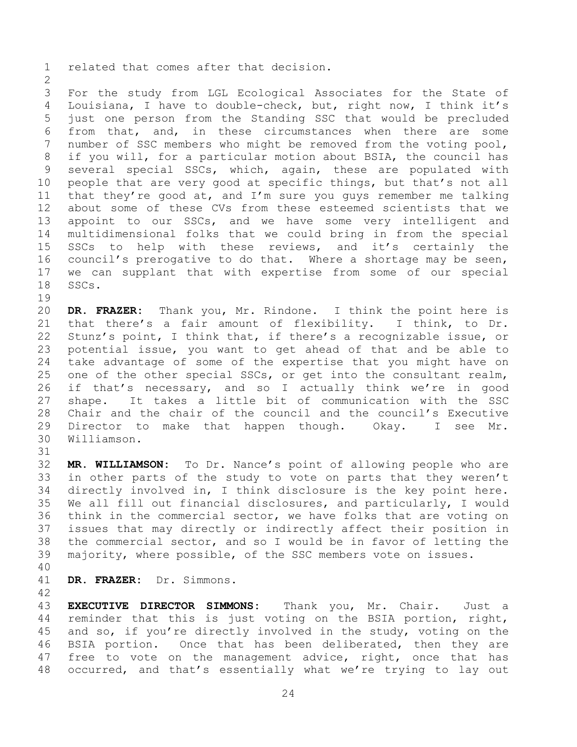related that comes after that decision.

 For the study from LGL Ecological Associates for the State of Louisiana, I have to double-check, but, right now, I think it's just one person from the Standing SSC that would be precluded from that, and, in these circumstances when there are some number of SSC members who might be removed from the voting pool, if you will, for a particular motion about BSIA, the council has several special SSCs, which, again, these are populated with people that are very good at specific things, but that's not all that they're good at, and I'm sure you guys remember me talking about some of these CVs from these esteemed scientists that we appoint to our SSCs, and we have some very intelligent and multidimensional folks that we could bring in from the special SSCs to help with these reviews, and it's certainly the council's prerogative to do that. Where a shortage may be seen, we can supplant that with expertise from some of our special SSCs.

 **DR. FRAZER:** Thank you, Mr. Rindone. I think the point here is that there's a fair amount of flexibility. I think, to Dr. Stunz's point, I think that, if there's a recognizable issue, or potential issue, you want to get ahead of that and be able to take advantage of some of the expertise that you might have on one of the other special SSCs, or get into the consultant realm, if that's necessary, and so I actually think we're in good shape. It takes a little bit of communication with the SSC Chair and the chair of the council and the council's Executive Director to make that happen though. Okay. I see Mr. Williamson.

 **MR. WILLIAMSON:** To Dr. Nance's point of allowing people who are in other parts of the study to vote on parts that they weren't directly involved in, I think disclosure is the key point here. We all fill out financial disclosures, and particularly, I would think in the commercial sector, we have folks that are voting on issues that may directly or indirectly affect their position in the commercial sector, and so I would be in favor of letting the majority, where possible, of the SSC members vote on issues.

**DR. FRAZER:** Dr. Simmons.

 **EXECUTIVE DIRECTOR SIMMONS:** Thank you, Mr. Chair. Just a reminder that this is just voting on the BSIA portion, right, and so, if you're directly involved in the study, voting on the BSIA portion. Once that has been deliberated, then they are 47 free to vote on the management advice, right, once that has occurred, and that's essentially what we're trying to lay out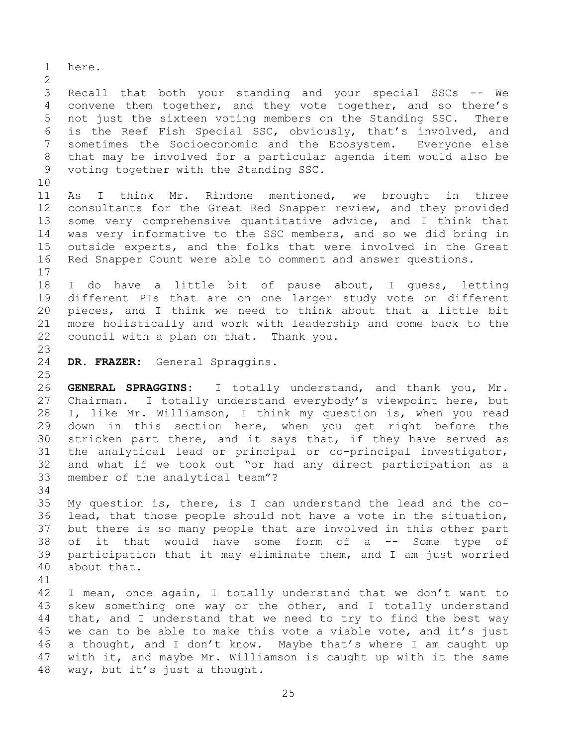here. Recall that both your standing and your special SSCs -- We convene them together, and they vote together, and so there's not just the sixteen voting members on the Standing SSC. There is the Reef Fish Special SSC, obviously, that's involved, and sometimes the Socioeconomic and the Ecosystem. Everyone else that may be involved for a particular agenda item would also be voting together with the Standing SSC. As I think Mr. Rindone mentioned, we brought in three consultants for the Great Red Snapper review, and they provided some very comprehensive quantitative advice, and I think that was very informative to the SSC members, and so we did bring in outside experts, and the folks that were involved in the Great Red Snapper Count were able to comment and answer questions. I do have a little bit of pause about, I guess, letting different PIs that are on one larger study vote on different pieces, and I think we need to think about that a little bit more holistically and work with leadership and come back to the council with a plan on that. Thank you. **DR. FRAZER:** General Spraggins. **GENERAL SPRAGGINS:** I totally understand, and thank you, Mr. Chairman. I totally understand everybody's viewpoint here, but I, like Mr. Williamson, I think my question is, when you read down in this section here, when you get right before the stricken part there, and it says that, if they have served as the analytical lead or principal or co-principal investigator, and what if we took out "or had any direct participation as a member of the analytical team"? My question is, there, is I can understand the lead and the co- lead, that those people should not have a vote in the situation, but there is so many people that are involved in this other part of it that would have some form of a -- Some type of participation that it may eliminate them, and I am just worried about that. I mean, once again, I totally understand that we don't want to skew something one way or the other, and I totally understand that, and I understand that we need to try to find the best way 45 we can to be able to make this vote a viable vote, and it's just a thought, and I don't know. Maybe that's where I am caught up with it, and maybe Mr. Williamson is caught up with it the same way, but it's just a thought.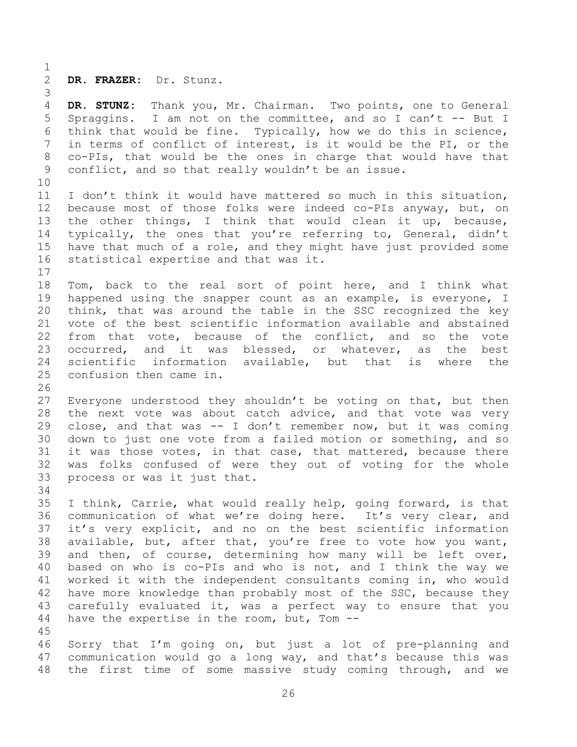**DR. FRAZER:** Dr. Stunz.

 **DR. STUNZ:** Thank you, Mr. Chairman. Two points, one to General Spraggins. I am not on the committee, and so I can't -- But I think that would be fine. Typically, how we do this in science, in terms of conflict of interest, is it would be the PI, or the co-PIs, that would be the ones in charge that would have that conflict, and so that really wouldn't be an issue. I don't think it would have mattered so much in this situation, because most of those folks were indeed co-PIs anyway, but, on the other things, I think that would clean it up, because, typically, the ones that you're referring to, General, didn't have that much of a role, and they might have just provided some statistical expertise and that was it. Tom, back to the real sort of point here, and I think what happened using the snapper count as an example, is everyone, I think, that was around the table in the SSC recognized the key vote of the best scientific information available and abstained from that vote, because of the conflict, and so the vote occurred, and it was blessed, or whatever, as the best scientific information available, but that is where the confusion then came in. Everyone understood they shouldn't be voting on that, but then 28 the next vote was about catch advice, and that vote was very close, and that was -- I don't remember now, but it was coming down to just one vote from a failed motion or something, and so it was those votes, in that case, that mattered, because there was folks confused of were they out of voting for the whole process or was it just that. I think, Carrie, what would really help, going forward, is that communication of what we're doing here. It's very clear, and it's very explicit, and no on the best scientific information available, but, after that, you're free to vote how you want, and then, of course, determining how many will be left over, based on who is co-PIs and who is not, and I think the way we worked it with the independent consultants coming in, who would have more knowledge than probably most of the SSC, because they carefully evaluated it, was a perfect way to ensure that you have the expertise in the room, but, Tom -- 

 Sorry that I'm going on, but just a lot of pre-planning and communication would go a long way, and that's because this was the first time of some massive study coming through, and we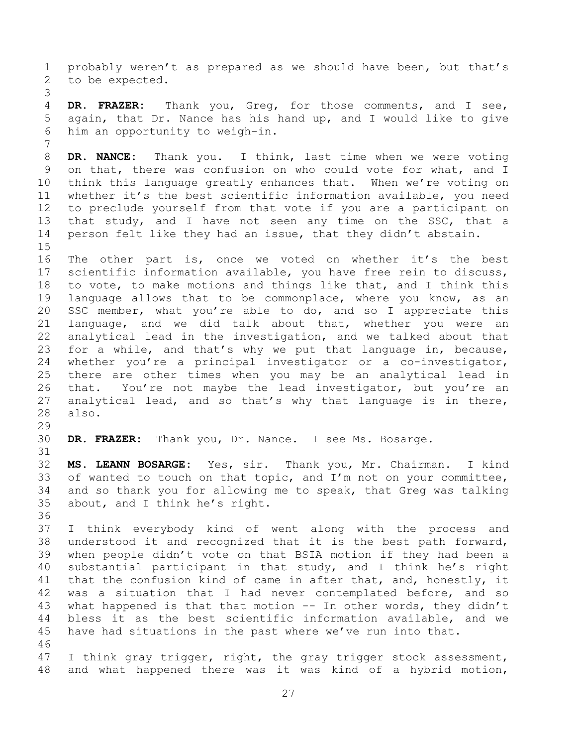probably weren't as prepared as we should have been, but that's to be expected. **DR. FRAZER:** Thank you, Greg, for those comments, and I see, again, that Dr. Nance has his hand up, and I would like to give him an opportunity to weigh-in. **DR. NANCE:** Thank you. I think, last time when we were voting on that, there was confusion on who could vote for what, and I think this language greatly enhances that. When we're voting on whether it's the best scientific information available, you need to preclude yourself from that vote if you are a participant on that study, and I have not seen any time on the SSC, that a person felt like they had an issue, that they didn't abstain. The other part is, once we voted on whether it's the best scientific information available, you have free rein to discuss, to vote, to make motions and things like that, and I think this language allows that to be commonplace, where you know, as an SSC member, what you're able to do, and so I appreciate this language, and we did talk about that, whether you were an analytical lead in the investigation, and we talked about that for a while, and that's why we put that language in, because, whether you're a principal investigator or a co-investigator, there are other times when you may be an analytical lead in that. You're not maybe the lead investigator, but you're an analytical lead, and so that's why that language is in there, also. **DR. FRAZER:** Thank you, Dr. Nance. I see Ms. Bosarge. **MS. LEANN BOSARGE:** Yes, sir. Thank you, Mr. Chairman. I kind 33 of wanted to touch on that topic, and I'm not on your committee, and so thank you for allowing me to speak, that Greg was talking about, and I think he's right. I think everybody kind of went along with the process and understood it and recognized that it is the best path forward, when people didn't vote on that BSIA motion if they had been a substantial participant in that study, and I think he's right 41 that the confusion kind of came in after that, and, honestly, it was a situation that I had never contemplated before, and so what happened is that that motion -- In other words, they didn't bless it as the best scientific information available, and we have had situations in the past where we've run into that. 47 I think gray trigger, right, the gray trigger stock assessment, and what happened there was it was kind of a hybrid motion,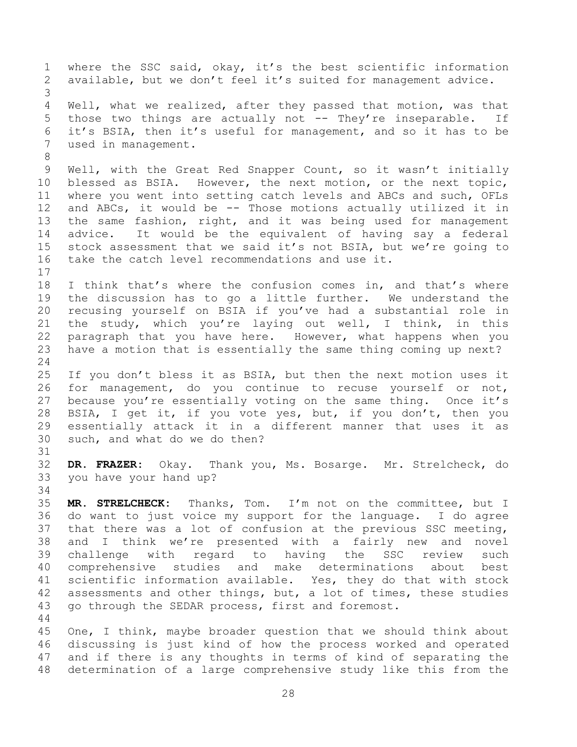where the SSC said, okay, it's the best scientific information available, but we don't feel it's suited for management advice. Well, what we realized, after they passed that motion, was that 5 those two things are actually not -- They're inseparable. If it's BSIA, then it's useful for management, and so it has to be used in management. Well, with the Great Red Snapper Count, so it wasn't initially blessed as BSIA. However, the next motion, or the next topic, where you went into setting catch levels and ABCs and such, OFLs and ABCs, it would be -- Those motions actually utilized it in the same fashion, right, and it was being used for management advice. It would be the equivalent of having say a federal stock assessment that we said it's not BSIA, but we're going to take the catch level recommendations and use it. I think that's where the confusion comes in, and that's where the discussion has to go a little further. We understand the recusing yourself on BSIA if you've had a substantial role in the study, which you're laying out well, I think, in this paragraph that you have here. However, what happens when you have a motion that is essentially the same thing coming up next? If you don't bless it as BSIA, but then the next motion uses it for management, do you continue to recuse yourself or not, because you're essentially voting on the same thing. Once it's BSIA, I get it, if you vote yes, but, if you don't, then you essentially attack it in a different manner that uses it as such, and what do we do then? **DR. FRAZER:** Okay. Thank you, Ms. Bosarge. Mr. Strelcheck, do you have your hand up? **MR. STRELCHECK:** Thanks, Tom. I'm not on the committee, but I do want to just voice my support for the language. I do agree that there was a lot of confusion at the previous SSC meeting, and I think we're presented with a fairly new and novel challenge with regard to having the SSC review such comprehensive studies and make determinations about best scientific information available. Yes, they do that with stock assessments and other things, but, a lot of times, these studies go through the SEDAR process, first and foremost. One, I think, maybe broader question that we should think about discussing is just kind of how the process worked and operated and if there is any thoughts in terms of kind of separating the determination of a large comprehensive study like this from the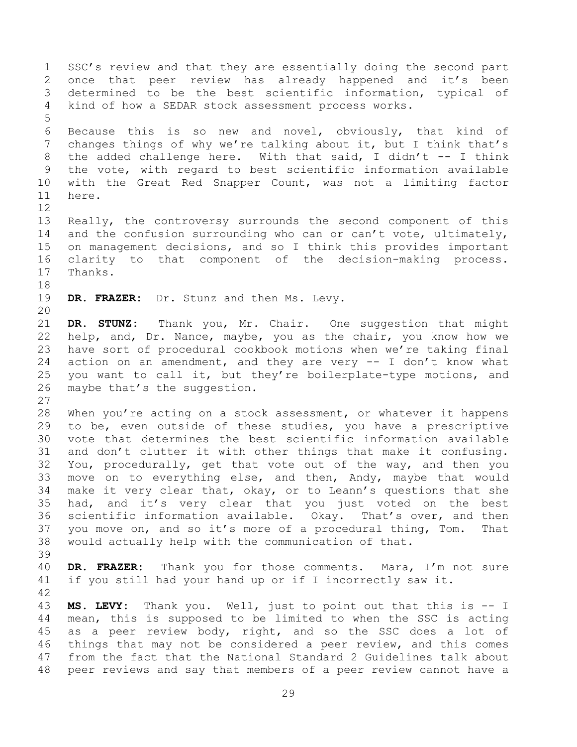SSC's review and that they are essentially doing the second part once that peer review has already happened and it's been determined to be the best scientific information, typical of kind of how a SEDAR stock assessment process works. Because this is so new and novel, obviously, that kind of changes things of why we're talking about it, but I think that's 8 the added challenge here. With that said, I didn't -- I think the vote, with regard to best scientific information available with the Great Red Snapper Count, was not a limiting factor here. Really, the controversy surrounds the second component of this 14 and the confusion surrounding who can or can't vote, ultimately, on management decisions, and so I think this provides important clarity to that component of the decision-making process. Thanks. **DR. FRAZER:** Dr. Stunz and then Ms. Levy. **DR. STUNZ:** Thank you, Mr. Chair. One suggestion that might help, and, Dr. Nance, maybe, you as the chair, you know how we have sort of procedural cookbook motions when we're taking final action on an amendment, and they are very -- I don't know what you want to call it, but they're boilerplate-type motions, and maybe that's the suggestion. 28 When you're acting on a stock assessment, or whatever it happens to be, even outside of these studies, you have a prescriptive vote that determines the best scientific information available and don't clutter it with other things that make it confusing. You, procedurally, get that vote out of the way, and then you move on to everything else, and then, Andy, maybe that would make it very clear that, okay, or to Leann's questions that she had, and it's very clear that you just voted on the best scientific information available. Okay. That's over, and then you move on, and so it's more of a procedural thing, Tom. That would actually help with the communication of that. **DR. FRAZER:** Thank you for those comments. Mara, I'm not sure if you still had your hand up or if I incorrectly saw it. **MS. LEVY:** Thank you. Well, just to point out that this is -- I mean, this is supposed to be limited to when the SSC is acting as a peer review body, right, and so the SSC does a lot of things that may not be considered a peer review, and this comes from the fact that the National Standard 2 Guidelines talk about peer reviews and say that members of a peer review cannot have a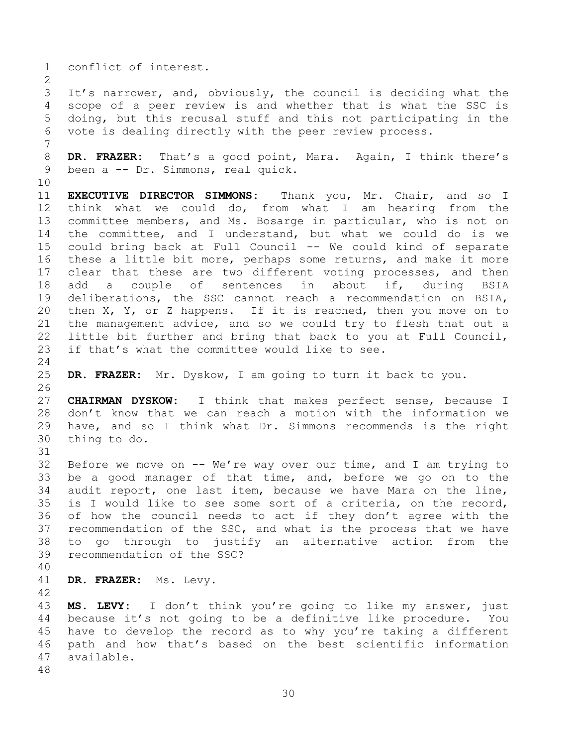conflict of interest.

 It's narrower, and, obviously, the council is deciding what the scope of a peer review is and whether that is what the SSC is doing, but this recusal stuff and this not participating in the vote is dealing directly with the peer review process.

 **DR. FRAZER:** That's a good point, Mara. Again, I think there's been a -- Dr. Simmons, real quick.

 **EXECUTIVE DIRECTOR SIMMONS:** Thank you, Mr. Chair, and so I think what we could do, from what I am hearing from the committee members, and Ms. Bosarge in particular, who is not on the committee, and I understand, but what we could do is we could bring back at Full Council -- We could kind of separate these a little bit more, perhaps some returns, and make it more clear that these are two different voting processes, and then add a couple of sentences in about if, during BSIA deliberations, the SSC cannot reach a recommendation on BSIA, then X, Y, or Z happens. If it is reached, then you move on to the management advice, and so we could try to flesh that out a little bit further and bring that back to you at Full Council, if that's what the committee would like to see.

**DR. FRAZER:** Mr. Dyskow, I am going to turn it back to you.

 **CHAIRMAN DYSKOW:** I think that makes perfect sense, because I don't know that we can reach a motion with the information we have, and so I think what Dr. Simmons recommends is the right thing to do. 

32 Before we move on  $-$  We're way over our time, and I am trying to be a good manager of that time, and, before we go on to the audit report, one last item, because we have Mara on the line, is I would like to see some sort of a criteria, on the record, of how the council needs to act if they don't agree with the recommendation of the SSC, and what is the process that we have to go through to justify an alternative action from the recommendation of the SSC?

- 
- **DR. FRAZER:** Ms. Levy.

 **MS. LEVY:** I don't think you're going to like my answer, just because it's not going to be a definitive like procedure. You have to develop the record as to why you're taking a different path and how that's based on the best scientific information available.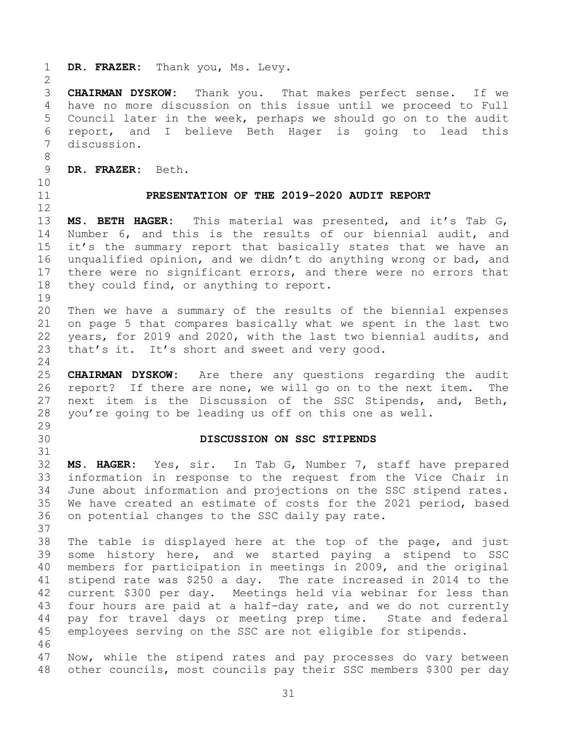<span id="page-30-1"></span><span id="page-30-0"></span> **DR. FRAZER:** Thank you, Ms. Levy. **CHAIRMAN DYSKOW:** Thank you. That makes perfect sense. If we have no more discussion on this issue until we proceed to Full Council later in the week, perhaps we should go on to the audit report, and I believe Beth Hager is going to lead this discussion. **DR. FRAZER:** Beth. **PRESENTATION OF THE 2019-2020 AUDIT REPORT MS. BETH HAGER:** This material was presented, and it's Tab G, Number 6, and this is the results of our biennial audit, and it's the summary report that basically states that we have an unqualified opinion, and we didn't do anything wrong or bad, and there were no significant errors, and there were no errors that they could find, or anything to report. Then we have a summary of the results of the biennial expenses on page 5 that compares basically what we spent in the last two years, for 2019 and 2020, with the last two biennial audits, and 23 that's it. It's short and sweet and very good. **CHAIRMAN DYSKOW:** Are there any questions regarding the audit report? If there are none, we will go on to the next item. The next item is the Discussion of the SSC Stipends, and, Beth, you're going to be leading us off on this one as well. **DISCUSSION ON SSC STIPENDS MS. HAGER:** Yes, sir. In Tab G, Number 7, staff have prepared information in response to the request from the Vice Chair in June about information and projections on the SSC stipend rates. We have created an estimate of costs for the 2021 period, based on potential changes to the SSC daily pay rate. The table is displayed here at the top of the page, and just some history here, and we started paying a stipend to SSC members for participation in meetings in 2009, and the original stipend rate was \$250 a day. The rate increased in 2014 to the current \$300 per day. Meetings held via webinar for less than four hours are paid at a half-day rate, and we do not currently pay for travel days or meeting prep time. State and federal employees serving on the SSC are not eligible for stipends. Now, while the stipend rates and pay processes do vary between other councils, most councils pay their SSC members \$300 per day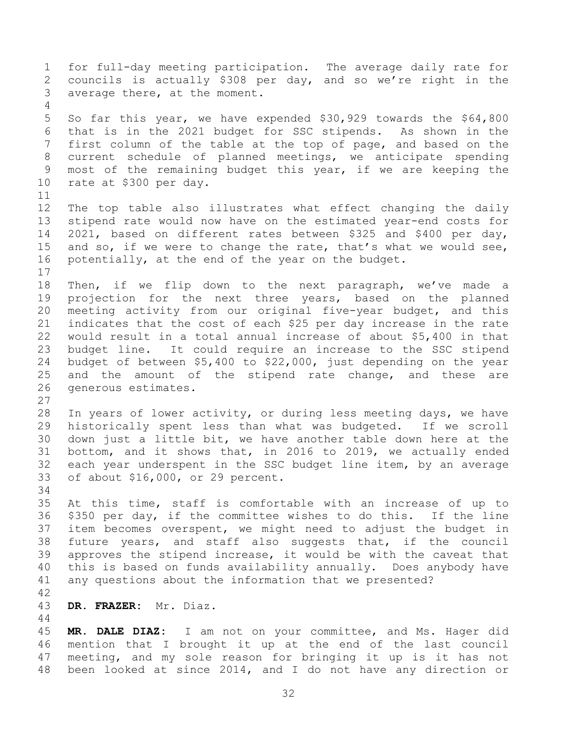for full-day meeting participation. The average daily rate for councils is actually \$308 per day, and so we're right in the average there, at the moment. So far this year, we have expended \$30,929 towards the \$64,800 that is in the 2021 budget for SSC stipends. As shown in the first column of the table at the top of page, and based on the current schedule of planned meetings, we anticipate spending most of the remaining budget this year, if we are keeping the rate at \$300 per day. The top table also illustrates what effect changing the daily stipend rate would now have on the estimated year-end costs for 2021, based on different rates between \$325 and \$400 per day, 15 and so, if we were to change the rate, that's what we would see, potentially, at the end of the year on the budget. Then, if we flip down to the next paragraph, we've made a projection for the next three years, based on the planned meeting activity from our original five-year budget, and this indicates that the cost of each \$25 per day increase in the rate would result in a total annual increase of about \$5,400 in that budget line. It could require an increase to the SSC stipend budget of between \$5,400 to \$22,000, just depending on the year and the amount of the stipend rate change, and these are generous estimates. In years of lower activity, or during less meeting days, we have historically spent less than what was budgeted. If we scroll down just a little bit, we have another table down here at the bottom, and it shows that, in 2016 to 2019, we actually ended each year underspent in the SSC budget line item, by an average of about \$16,000, or 29 percent. At this time, staff is comfortable with an increase of up to \$350 per day, if the committee wishes to do this. If the line item becomes overspent, we might need to adjust the budget in future years, and staff also suggests that, if the council approves the stipend increase, it would be with the caveat that this is based on funds availability annually. Does anybody have any questions about the information that we presented? **DR. FRAZER:** Mr. Diaz. **MR. DALE DIAZ:** I am not on your committee, and Ms. Hager did mention that I brought it up at the end of the last council meeting, and my sole reason for bringing it up is it has not

been looked at since 2014, and I do not have any direction or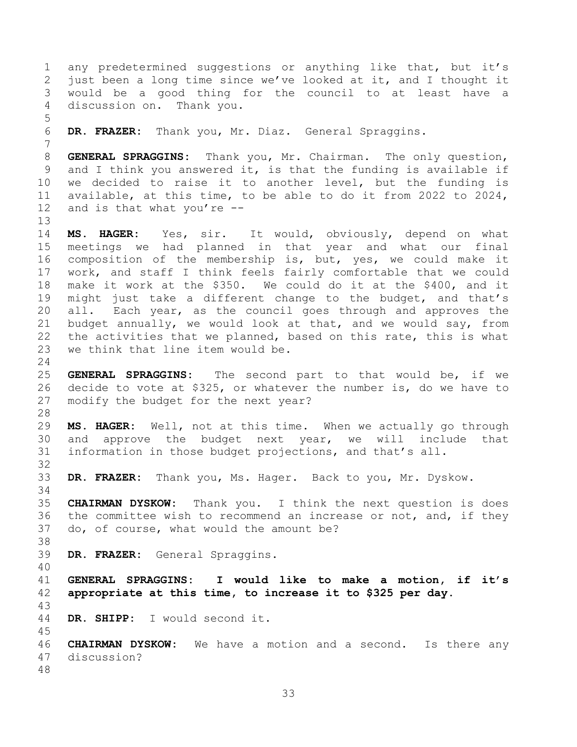<span id="page-32-0"></span> any predetermined suggestions or anything like that, but it's just been a long time since we've looked at it, and I thought it would be a good thing for the council to at least have a discussion on. Thank you. **DR. FRAZER:** Thank you, Mr. Diaz. General Spraggins. **GENERAL SPRAGGINS:** Thank you, Mr. Chairman. The only question, and I think you answered it, is that the funding is available if we decided to raise it to another level, but the funding is available, at this time, to be able to do it from 2022 to 2024, and is that what you're -- **MS. HAGER:** Yes, sir. It would, obviously, depend on what meetings we had planned in that year and what our final composition of the membership is, but, yes, we could make it work, and staff I think feels fairly comfortable that we could make it work at the \$350. We could do it at the \$400, and it might just take a different change to the budget, and that's all. Each year, as the council goes through and approves the budget annually, we would look at that, and we would say, from the activities that we planned, based on this rate, this is what we think that line item would be. **GENERAL SPRAGGINS:** The second part to that would be, if we decide to vote at \$325, or whatever the number is, do we have to modify the budget for the next year? **MS. HAGER:** Well, not at this time. When we actually go through and approve the budget next year, we will include that information in those budget projections, and that's all. **DR. FRAZER:** Thank you, Ms. Hager. Back to you, Mr. Dyskow. **CHAIRMAN DYSKOW:** Thank you. I think the next question is does the committee wish to recommend an increase or not, and, if they do, of course, what would the amount be? **DR. FRAZER:** General Spraggins. **GENERAL SPRAGGINS: I would like to make a motion, if it's appropriate at this time, to increase it to \$325 per day. DR. SHIPP:** I would second it. **CHAIRMAN DYSKOW:** We have a motion and a second. Is there any discussion?